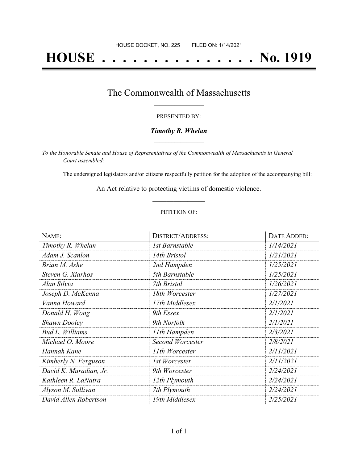# **HOUSE . . . . . . . . . . . . . . . No. 1919**

### The Commonwealth of Massachusetts **\_\_\_\_\_\_\_\_\_\_\_\_\_\_\_\_\_**

#### PRESENTED BY:

#### *Timothy R. Whelan* **\_\_\_\_\_\_\_\_\_\_\_\_\_\_\_\_\_**

*To the Honorable Senate and House of Representatives of the Commonwealth of Massachusetts in General Court assembled:*

The undersigned legislators and/or citizens respectfully petition for the adoption of the accompanying bill:

An Act relative to protecting victims of domestic violence. **\_\_\_\_\_\_\_\_\_\_\_\_\_\_\_**

#### PETITION OF:

| NAME:                  | <b>DISTRICT/ADDRESS:</b> | DATE ADDED: |
|------------------------|--------------------------|-------------|
| Timothy R. Whelan      | 1st Barnstable           | 1/14/2021   |
| Adam J. Scanlon        | 14th Bristol             | 1/21/2021   |
| Brian M. Ashe          | 2nd Hampden              | 1/25/2021   |
| Steven G. Xiarhos      | 5th Barnstable           | 1/25/2021   |
| Alan Silvia            | 7th Bristol              | 1/26/2021   |
| Joseph D. McKenna      | 18th Worcester           | 1/27/2021   |
| Vanna Howard           | 17th Middlesex           | 2/1/2021    |
| Donald H. Wong         | 9th Essex                | 2/1/2021    |
| <b>Shawn Dooley</b>    | 9th Norfolk              | 2/1/2021    |
| Bud L. Williams        | 11th Hampden             | 2/3/2021    |
| Michael O. Moore       | <b>Second Worcester</b>  | 2/8/2021    |
| Hannah Kane            | 11th Worcester           | 2/11/2021   |
| Kimberly N. Ferguson   | 1st Worcester            | 2/11/2021   |
| David K. Muradian, Jr. | 9th Worcester            | 2/24/2021   |
| Kathleen R. LaNatra    | 12th Plymouth            | 2/24/2021   |
| Alyson M. Sullivan     | 7th Plymouth             | 2/24/2021   |
| David Allen Robertson  | 19th Middlesex           | 2/25/2021   |